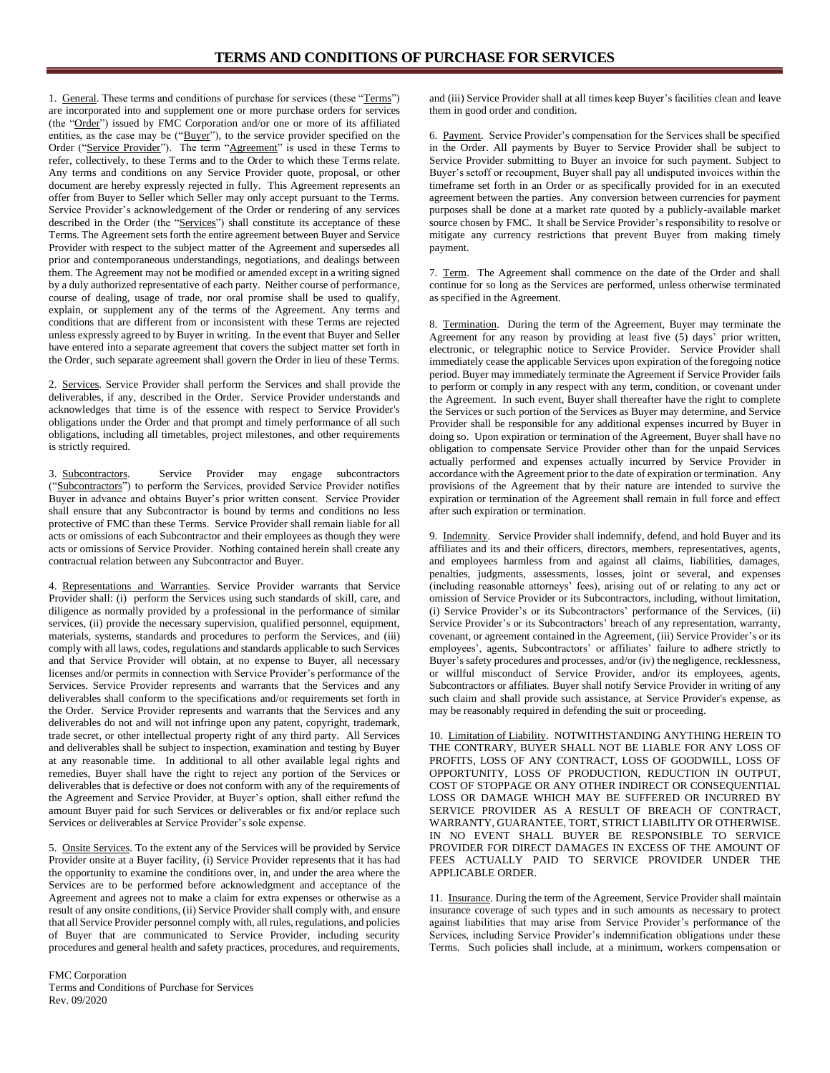1. General. These terms and conditions of purchase for services (these "Terms") are incorporated into and supplement one or more purchase orders for services (the "Order") issued by FMC Corporation and/or one or more of its affiliated entities, as the case may be ("Buyer"), to the service provider specified on the Order ("Service Provider"). The term "Agreement" is used in these Terms to refer, collectively, to these Terms and to the Order to which these Terms relate. Any terms and conditions on any Service Provider quote, proposal, or other document are hereby expressly rejected in fully. This Agreement represents an offer from Buyer to Seller which Seller may only accept pursuant to the Terms. Service Provider's acknowledgement of the Order or rendering of any services described in the Order (the "Services") shall constitute its acceptance of these Terms. The Agreement sets forth the entire agreement between Buyer and Service Provider with respect to the subject matter of the Agreement and supersedes all prior and contemporaneous understandings, negotiations, and dealings between them. The Agreement may not be modified or amended except in a writing signed by a duly authorized representative of each party. Neither course of performance, course of dealing, usage of trade, nor oral promise shall be used to qualify, explain, or supplement any of the terms of the Agreement. Any terms and conditions that are different from or inconsistent with these Terms are rejected unless expressly agreed to by Buyer in writing. In the event that Buyer and Seller have entered into a separate agreement that covers the subject matter set forth in the Order, such separate agreement shall govern the Order in lieu of these Terms.

2. Services. Service Provider shall perform the Services and shall provide the deliverables, if any, described in the Order. Service Provider understands and acknowledges that time is of the essence with respect to Service Provider's obligations under the Order and that prompt and timely performance of all such obligations, including all timetables, project milestones, and other requirements is strictly required.

3. Subcontractors. Service Provider may engage subcontractors ("Subcontractors") to perform the Services, provided Service Provider notifies Buyer in advance and obtains Buyer's prior written consent. Service Provider shall ensure that any Subcontractor is bound by terms and conditions no less protective of FMC than these Terms. Service Provider shall remain liable for all acts or omissions of each Subcontractor and their employees as though they were acts or omissions of Service Provider. Nothing contained herein shall create any contractual relation between any Subcontractor and Buyer.

4. Representations and Warranties. Service Provider warrants that Service Provider shall: (i) perform the Services using such standards of skill, care, and diligence as normally provided by a professional in the performance of similar services, (ii) provide the necessary supervision, qualified personnel, equipment, materials, systems, standards and procedures to perform the Services, and (iii) comply with all laws, codes, regulations and standards applicable to such Services and that Service Provider will obtain, at no expense to Buyer, all necessary licenses and/or permits in connection with Service Provider's performance of the Services. Service Provider represents and warrants that the Services and any deliverables shall conform to the specifications and/or requirements set forth in the Order. Service Provider represents and warrants that the Services and any deliverables do not and will not infringe upon any patent, copyright, trademark, trade secret, or other intellectual property right of any third party. All Services and deliverables shall be subject to inspection, examination and testing by Buyer at any reasonable time. In additional to all other available legal rights and remedies, Buyer shall have the right to reject any portion of the Services or deliverables that is defective or does not conform with any of the requirements of the Agreement and Service Provider, at Buyer's option, shall either refund the amount Buyer paid for such Services or deliverables or fix and/or replace such Services or deliverables at Service Provider's sole expense.

5. Onsite Services. To the extent any of the Services will be provided by Service Provider onsite at a Buyer facility, (i) Service Provider represents that it has had the opportunity to examine the conditions over, in, and under the area where the Services are to be performed before acknowledgment and acceptance of the Agreement and agrees not to make a claim for extra expenses or otherwise as a result of any onsite conditions, (ii) Service Provider shall comply with, and ensure that all Service Provider personnel comply with, all rules, regulations, and policies of Buyer that are communicated to Service Provider, including security procedures and general health and safety practices, procedures, and requirements,

FMC Corporation Terms and Conditions of Purchase for Services Rev. 09/2020

and (iii) Service Provider shall at all times keep Buyer's facilities clean and leave them in good order and condition.

6. Payment. Service Provider's compensation for the Services shall be specified in the Order. All payments by Buyer to Service Provider shall be subject to Service Provider submitting to Buyer an invoice for such payment. Subject to Buyer's setoff or recoupment, Buyer shall pay all undisputed invoices within the timeframe set forth in an Order or as specifically provided for in an executed agreement between the parties. Any conversion between currencies for payment purposes shall be done at a market rate quoted by a publicly-available market source chosen by FMC. It shall be Service Provider's responsibility to resolve or mitigate any currency restrictions that prevent Buyer from making timely payment.

7. Term. The Agreement shall commence on the date of the Order and shall continue for so long as the Services are performed, unless otherwise terminated as specified in the Agreement.

8. Termination. During the term of the Agreement, Buyer may terminate the Agreement for any reason by providing at least five (5) days' prior written, electronic, or telegraphic notice to Service Provider. Service Provider shall immediately cease the applicable Services upon expiration of the foregoing notice period. Buyer may immediately terminate the Agreement if Service Provider fails to perform or comply in any respect with any term, condition, or covenant under the Agreement. In such event, Buyer shall thereafter have the right to complete the Services or such portion of the Services as Buyer may determine, and Service Provider shall be responsible for any additional expenses incurred by Buyer in doing so. Upon expiration or termination of the Agreement, Buyer shall have no obligation to compensate Service Provider other than for the unpaid Services actually performed and expenses actually incurred by Service Provider in accordance with the Agreement prior to the date of expiration or termination. Any provisions of the Agreement that by their nature are intended to survive the expiration or termination of the Agreement shall remain in full force and effect after such expiration or termination.

9. Indemnity. Service Provider shall indemnify, defend, and hold Buyer and its affiliates and its and their officers, directors, members, representatives, agents, and employees harmless from and against all claims, liabilities, damages, penalties, judgments, assessments, losses, joint or several, and expenses (including reasonable attorneys' fees), arising out of or relating to any act or omission of Service Provider or its Subcontractors, including, without limitation, (i) Service Provider's or its Subcontractors' performance of the Services, (ii) Service Provider's or its Subcontractors' breach of any representation, warranty, covenant, or agreement contained in the Agreement, (iii) Service Provider's or its employees', agents, Subcontractors' or affiliates' failure to adhere strictly to Buyer's safety procedures and processes, and/or (iv) the negligence, recklessness, or willful misconduct of Service Provider, and/or its employees, agents, Subcontractors or affiliates. Buyer shall notify Service Provider in writing of any such claim and shall provide such assistance, at Service Provider's expense, as may be reasonably required in defending the suit or proceeding.

10. Limitation of Liability. NOTWITHSTANDING ANYTHING HEREIN TO THE CONTRARY, BUYER SHALL NOT BE LIABLE FOR ANY LOSS OF PROFITS, LOSS OF ANY CONTRACT, LOSS OF GOODWILL, LOSS OF OPPORTUNITY, LOSS OF PRODUCTION, REDUCTION IN OUTPUT, COST OF STOPPAGE OR ANY OTHER INDIRECT OR CONSEQUENTIAL LOSS OR DAMAGE WHICH MAY BE SUFFERED OR INCURRED BY SERVICE PROVIDER AS A RESULT OF BREACH OF CONTRACT, WARRANTY, GUARANTEE, TORT, STRICT LIABILITY OR OTHERWISE. IN NO EVENT SHALL BUYER BE RESPONSIBLE TO SERVICE PROVIDER FOR DIRECT DAMAGES IN EXCESS OF THE AMOUNT OF FEES ACTUALLY PAID TO SERVICE PROVIDER UNDER THE APPLICABLE ORDER.

11. Insurance. During the term of the Agreement, Service Provider shall maintain insurance coverage of such types and in such amounts as necessary to protect against liabilities that may arise from Service Provider's performance of the Services, including Service Provider's indemnification obligations under these Terms. Such policies shall include, at a minimum, workers compensation or